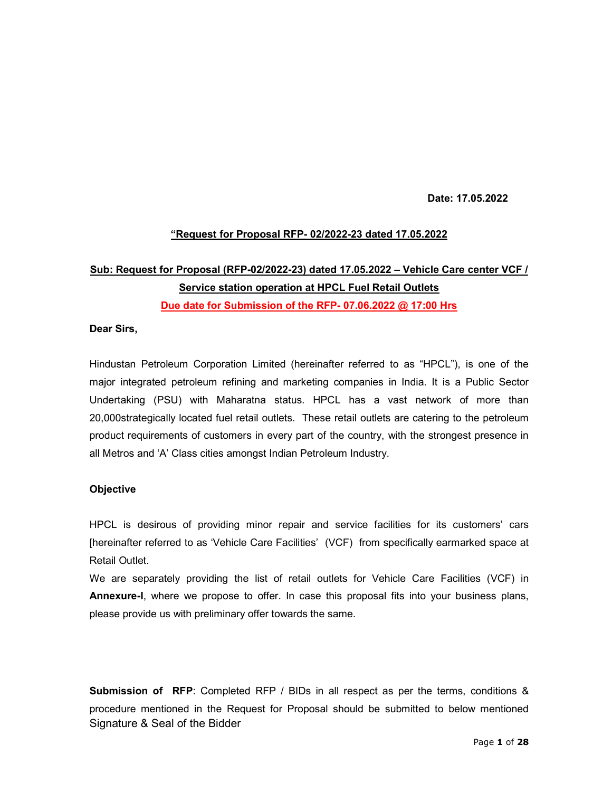Date: 17.05.2022

## "Request for Proposal RFP- 02/2022-23 dated 17.05.2022

# Sub: Request for Proposal (RFP-02/2022-23) dated 17.05.2022 – Vehicle Care center VCF / Service station operation at HPCL Fuel Retail Outlets Due date for Submission of the RFP- 07.06.2022 @ 17:00 Hrs

#### Dear Sirs,

Hindustan Petroleum Corporation Limited (hereinafter referred to as "HPCL"), is one of the major integrated petroleum refining and marketing companies in India. It is a Public Sector Undertaking (PSU) with Maharatna status. HPCL has a vast network of more than 20,000strategically located fuel retail outlets. These retail outlets are catering to the petroleum product requirements of customers in every part of the country, with the strongest presence in all Metros and 'A' Class cities amongst Indian Petroleum Industry.

#### **Objective**

HPCL is desirous of providing minor repair and service facilities for its customers' cars [hereinafter referred to as 'Vehicle Care Facilities' (VCF) from specifically earmarked space at Retail Outlet.

We are separately providing the list of retail outlets for Vehicle Care Facilities (VCF) in Annexure-I, where we propose to offer. In case this proposal fits into your business plans, please provide us with preliminary offer towards the same.

Signature & Seal of the Bidder Submission of RFP: Completed RFP / BIDs in all respect as per the terms, conditions & procedure mentioned in the Request for Proposal should be submitted to below mentioned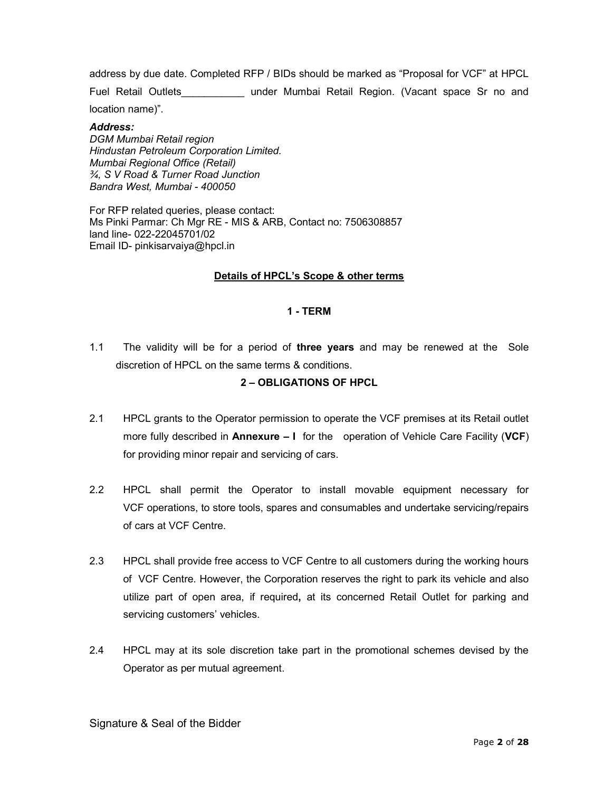address by due date. Completed RFP / BIDs should be marked as "Proposal for VCF" at HPCL

Fuel Retail Outlets\_\_\_\_\_\_\_\_\_\_\_ under Mumbai Retail Region. (Vacant space Sr no and

location name)".

#### Address:

DGM Mumbai Retail region Hindustan Petroleum Corporation Limited. Mumbai Regional Office (Retail) ¾, S V Road & Turner Road Junction Bandra West, Mumbai - 400050

For RFP related queries, please contact: Ms Pinki Parmar: Ch Mgr RE - MIS & ARB, Contact no: 7506308857 land line- 022-22045701/02 Email ID- pinkisarvaiya@hpcl.in

#### Details of HPCL's Scope & other terms

#### 1 - TERM

1.1 The validity will be for a period of three years and may be renewed at the Sole discretion of HPCL on the same terms & conditions.

#### 2 – OBLIGATIONS OF HPCL

- 2.1 HPCL grants to the Operator permission to operate the VCF premises at its Retail outlet more fully described in **Annexure – I** for the operation of Vehicle Care Facility ( $VCF$ ) for providing minor repair and servicing of cars.
- 2.2 HPCL shall permit the Operator to install movable equipment necessary for VCF operations, to store tools, spares and consumables and undertake servicing/repairs of cars at VCF Centre.
- 2.3 HPCL shall provide free access to VCF Centre to all customers during the working hours of VCF Centre. However, the Corporation reserves the right to park its vehicle and also utilize part of open area, if required, at its concerned Retail Outlet for parking and servicing customers' vehicles.
- 2.4 HPCL may at its sole discretion take part in the promotional schemes devised by the Operator as per mutual agreement.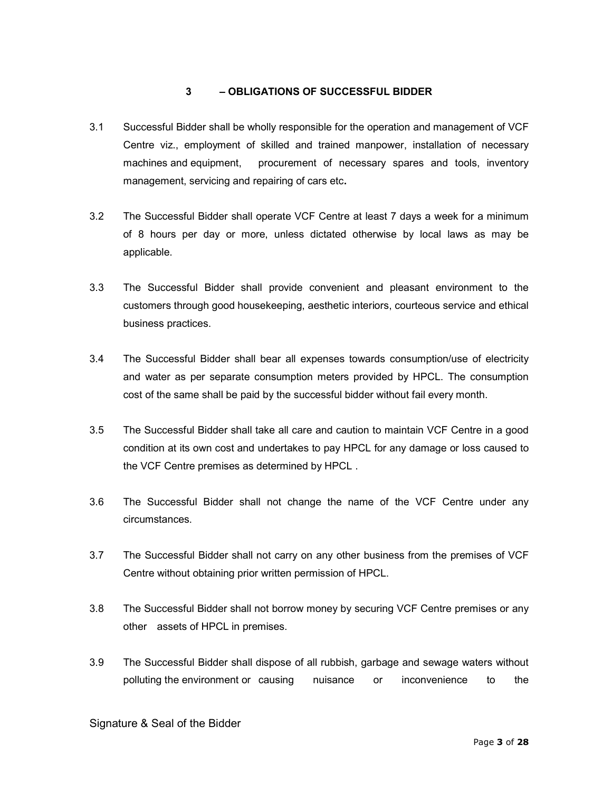#### 3 – OBLIGATIONS OF SUCCESSFUL BIDDER

- 3.1 Successful Bidder shall be wholly responsible for the operation and management of VCF Centre viz., employment of skilled and trained manpower, installation of necessary machines and equipment, procurement of necessary spares and tools, inventory management, servicing and repairing of cars etc.
- 3.2 The Successful Bidder shall operate VCF Centre at least 7 days a week for a minimum of 8 hours per day or more, unless dictated otherwise by local laws as may be applicable.
- 3.3 The Successful Bidder shall provide convenient and pleasant environment to the customers through good housekeeping, aesthetic interiors, courteous service and ethical business practices.
- 3.4 The Successful Bidder shall bear all expenses towards consumption/use of electricity and water as per separate consumption meters provided by HPCL. The consumption cost of the same shall be paid by the successful bidder without fail every month.
- 3.5 The Successful Bidder shall take all care and caution to maintain VCF Centre in a good condition at its own cost and undertakes to pay HPCL for any damage or loss caused to the VCF Centre premises as determined by HPCL .
- 3.6 The Successful Bidder shall not change the name of the VCF Centre under any circumstances.
- 3.7 The Successful Bidder shall not carry on any other business from the premises of VCF Centre without obtaining prior written permission of HPCL.
- 3.8 The Successful Bidder shall not borrow money by securing VCF Centre premises or any other assets of HPCL in premises.
- 3.9 The Successful Bidder shall dispose of all rubbish, garbage and sewage waters without polluting the environment or causing nuisance or inconvenience to the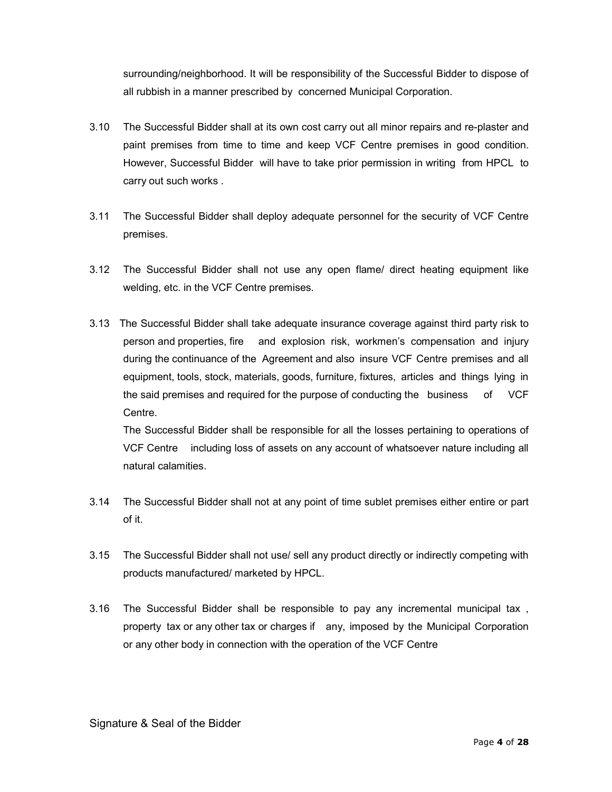surrounding/neighborhood. It will be responsibility of the Successful Bidder to dispose of all rubbish in a manner prescribed by concerned Municipal Corporation.

- 3.10 The Successful Bidder shall at its own cost carry out all minor repairs and re-plaster and paint premises from time to time and keep VCF Centre premises in good condition. However, Successful Bidder will have to take prior permission in writing from HPCL to carry out such works .
- 3.11 The Successful Bidder shall deploy adequate personnel for the security of VCF Centre premises.
- 3.12 The Successful Bidder shall not use any open flame/ direct heating equipment like welding, etc. in the VCF Centre premises.
- 3.13 The Successful Bidder shall take adequate insurance coverage against third party risk to person and properties, fire and explosion risk, workmen's compensation and injury during the continuance of the Agreement and also insure VCF Centre premises and all equipment, tools, stock, materials, goods, furniture, fixtures, articles and things lying in the said premises and required for the purpose of conducting the business of VCF Centre.

The Successful Bidder shall be responsible for all the losses pertaining to operations of VCF Centre including loss of assets on any account of whatsoever nature including all natural calamities.

- 3.14 The Successful Bidder shall not at any point of time sublet premises either entire or part of it.
- 3.15 The Successful Bidder shall not use/ sell any product directly or indirectly competing with products manufactured/ marketed by HPCL.
- 3.16 The Successful Bidder shall be responsible to pay any incremental municipal tax , property tax or any other tax or charges if any, imposed by the Municipal Corporation or any other body in connection with the operation of the VCF Centre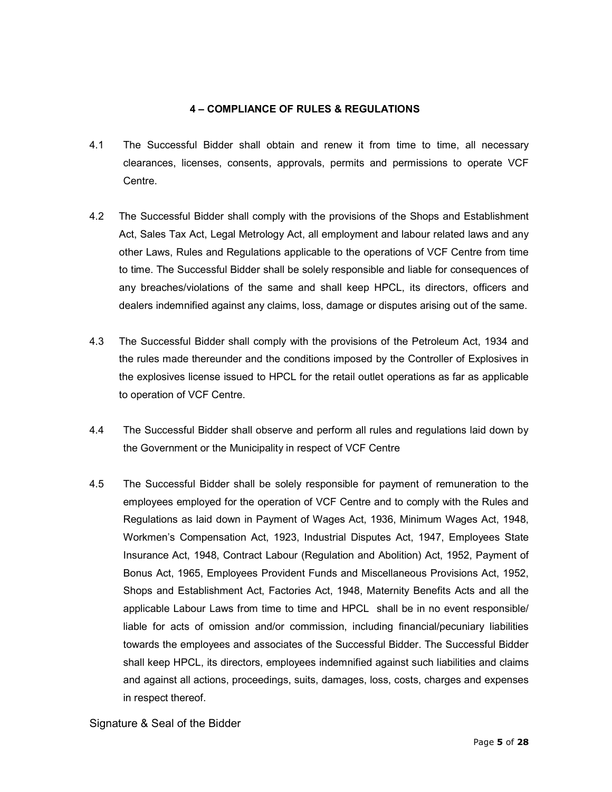#### 4 – COMPLIANCE OF RULES & REGULATIONS

- 4.1 The Successful Bidder shall obtain and renew it from time to time, all necessary clearances, licenses, consents, approvals, permits and permissions to operate VCF Centre.
- 4.2 The Successful Bidder shall comply with the provisions of the Shops and Establishment Act, Sales Tax Act, Legal Metrology Act, all employment and labour related laws and any other Laws, Rules and Regulations applicable to the operations of VCF Centre from time to time. The Successful Bidder shall be solely responsible and liable for consequences of any breaches/violations of the same and shall keep HPCL, its directors, officers and dealers indemnified against any claims, loss, damage or disputes arising out of the same.
- 4.3 The Successful Bidder shall comply with the provisions of the Petroleum Act, 1934 and the rules made thereunder and the conditions imposed by the Controller of Explosives in the explosives license issued to HPCL for the retail outlet operations as far as applicable to operation of VCF Centre.
- 4.4 The Successful Bidder shall observe and perform all rules and regulations laid down by the Government or the Municipality in respect of VCF Centre
- 4.5 The Successful Bidder shall be solely responsible for payment of remuneration to the employees employed for the operation of VCF Centre and to comply with the Rules and Regulations as laid down in Payment of Wages Act, 1936, Minimum Wages Act, 1948, Workmen's Compensation Act, 1923, Industrial Disputes Act, 1947, Employees State Insurance Act, 1948, Contract Labour (Regulation and Abolition) Act, 1952, Payment of Bonus Act, 1965, Employees Provident Funds and Miscellaneous Provisions Act, 1952, Shops and Establishment Act, Factories Act, 1948, Maternity Benefits Acts and all the applicable Labour Laws from time to time and HPCL shall be in no event responsible/ liable for acts of omission and/or commission, including financial/pecuniary liabilities towards the employees and associates of the Successful Bidder. The Successful Bidder shall keep HPCL, its directors, employees indemnified against such liabilities and claims and against all actions, proceedings, suits, damages, loss, costs, charges and expenses in respect thereof.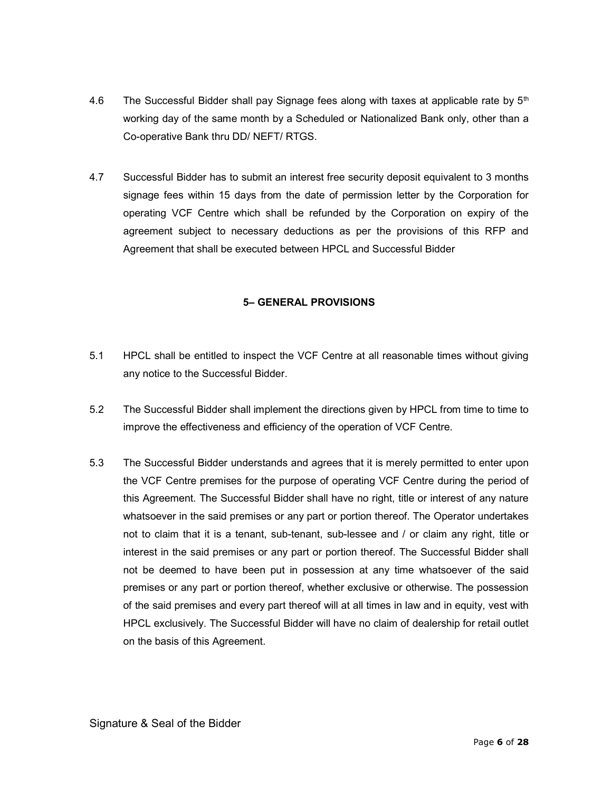- 4.6 The Successful Bidder shall pay Signage fees along with taxes at applicable rate by  $5<sup>th</sup>$ working day of the same month by a Scheduled or Nationalized Bank only, other than a Co-operative Bank thru DD/ NEFT/ RTGS.
- 4.7 Successful Bidder has to submit an interest free security deposit equivalent to 3 months signage fees within 15 days from the date of permission letter by the Corporation for operating VCF Centre which shall be refunded by the Corporation on expiry of the agreement subject to necessary deductions as per the provisions of this RFP and Agreement that shall be executed between HPCL and Successful Bidder

## 5– GENERAL PROVISIONS

- 5.1 HPCL shall be entitled to inspect the VCF Centre at all reasonable times without giving any notice to the Successful Bidder.
- 5.2 The Successful Bidder shall implement the directions given by HPCL from time to time to improve the effectiveness and efficiency of the operation of VCF Centre.
- 5.3 The Successful Bidder understands and agrees that it is merely permitted to enter upon the VCF Centre premises for the purpose of operating VCF Centre during the period of this Agreement. The Successful Bidder shall have no right, title or interest of any nature whatsoever in the said premises or any part or portion thereof. The Operator undertakes not to claim that it is a tenant, sub-tenant, sub-lessee and / or claim any right, title or interest in the said premises or any part or portion thereof. The Successful Bidder shall not be deemed to have been put in possession at any time whatsoever of the said premises or any part or portion thereof, whether exclusive or otherwise. The possession of the said premises and every part thereof will at all times in law and in equity, vest with HPCL exclusively. The Successful Bidder will have no claim of dealership for retail outlet on the basis of this Agreement.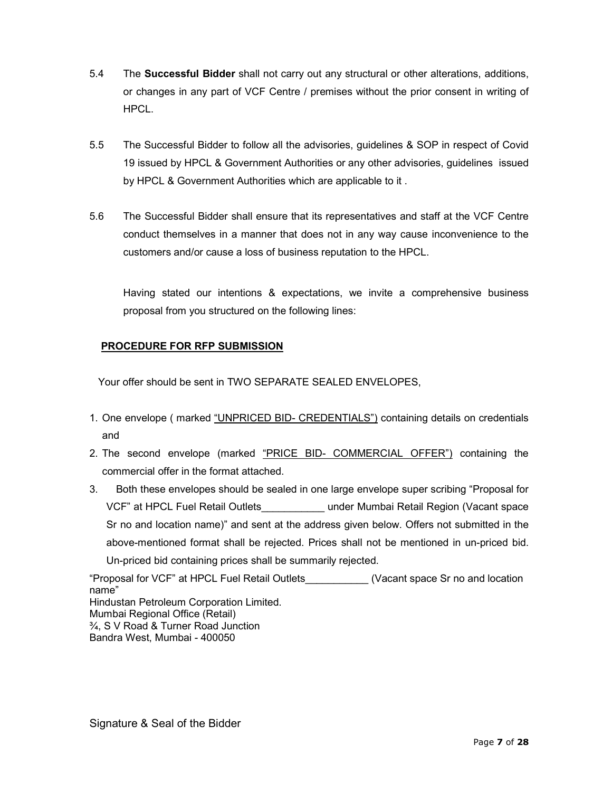- 5.4 The **Successful Bidder** shall not carry out any structural or other alterations, additions, or changes in any part of VCF Centre / premises without the prior consent in writing of HPCL.
- 5.5 The Successful Bidder to follow all the advisories, guidelines & SOP in respect of Covid 19 issued by HPCL & Government Authorities or any other advisories, guidelines issued by HPCL & Government Authorities which are applicable to it .
- 5.6 The Successful Bidder shall ensure that its representatives and staff at the VCF Centre conduct themselves in a manner that does not in any way cause inconvenience to the customers and/or cause a loss of business reputation to the HPCL.

Having stated our intentions & expectations, we invite a comprehensive business proposal from you structured on the following lines:

## PROCEDURE FOR RFP SUBMISSION

Your offer should be sent in TWO SEPARATE SEALED ENVELOPES,

- 1. One envelope (marked "UNPRICED BID- CREDENTIALS") containing details on credentials and
- 2. The second envelope (marked "PRICE BID- COMMERCIAL OFFER") containing the commercial offer in the format attached.
- 3. Both these envelopes should be sealed in one large envelope super scribing "Proposal for VCF" at HPCL Fuel Retail Outlets\_\_\_\_\_\_\_\_\_\_\_ under Mumbai Retail Region (Vacant space Sr no and location name)" and sent at the address given below. Offers not submitted in the above-mentioned format shall be rejected. Prices shall not be mentioned in un-priced bid. Un-priced bid containing prices shall be summarily rejected.

"Proposal for VCF" at HPCL Fuel Retail Outlets\_\_\_\_\_\_\_\_\_\_\_ (Vacant space Sr no and location name" Hindustan Petroleum Corporation Limited. Mumbai Regional Office (Retail) ¾, S V Road & Turner Road Junction Bandra West, Mumbai - 400050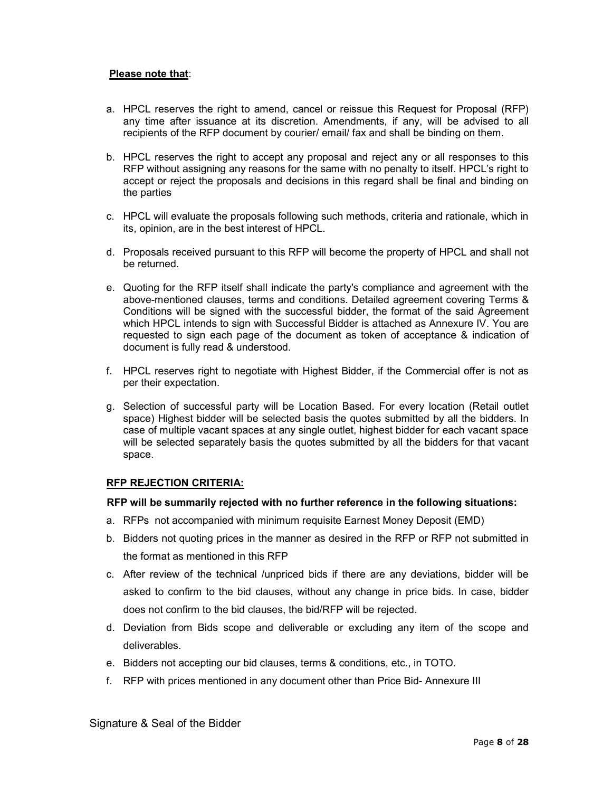#### Please note that:

- a. HPCL reserves the right to amend, cancel or reissue this Request for Proposal (RFP) any time after issuance at its discretion. Amendments, if any, will be advised to all recipients of the RFP document by courier/ email/ fax and shall be binding on them.
- b. HPCL reserves the right to accept any proposal and reject any or all responses to this RFP without assigning any reasons for the same with no penalty to itself. HPCL's right to accept or reject the proposals and decisions in this regard shall be final and binding on the parties
- c. HPCL will evaluate the proposals following such methods, criteria and rationale, which in its, opinion, are in the best interest of HPCL.
- d. Proposals received pursuant to this RFP will become the property of HPCL and shall not be returned.
- e. Quoting for the RFP itself shall indicate the party's compliance and agreement with the above-mentioned clauses, terms and conditions. Detailed agreement covering Terms & Conditions will be signed with the successful bidder, the format of the said Agreement which HPCL intends to sign with Successful Bidder is attached as Annexure IV. You are requested to sign each page of the document as token of acceptance & indication of document is fully read & understood.
- f. HPCL reserves right to negotiate with Highest Bidder, if the Commercial offer is not as per their expectation.
- g. Selection of successful party will be Location Based. For every location (Retail outlet space) Highest bidder will be selected basis the quotes submitted by all the bidders. In case of multiple vacant spaces at any single outlet, highest bidder for each vacant space will be selected separately basis the quotes submitted by all the bidders for that vacant space.

#### RFP REJECTION CRITERIA:

#### RFP will be summarily rejected with no further reference in the following situations:

- a. RFPs not accompanied with minimum requisite Earnest Money Deposit (EMD)
- b. Bidders not quoting prices in the manner as desired in the RFP or RFP not submitted in the format as mentioned in this RFP
- c. After review of the technical /unpriced bids if there are any deviations, bidder will be asked to confirm to the bid clauses, without any change in price bids. In case, bidder does not confirm to the bid clauses, the bid/RFP will be rejected.
- d. Deviation from Bids scope and deliverable or excluding any item of the scope and deliverables.
- e. Bidders not accepting our bid clauses, terms & conditions, etc., in TOTO.
- f. RFP with prices mentioned in any document other than Price Bid- Annexure III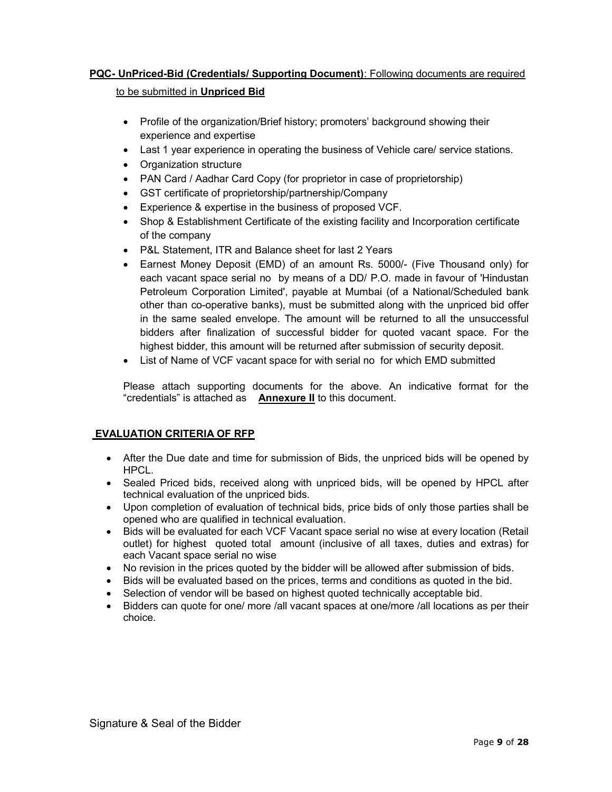## PQC- UnPriced-Bid (Credentials/ Supporting Document): Following documents are required

#### to be submitted in Unpriced Bid

- Profile of the organization/Brief history; promoters' background showing their experience and expertise
- Last 1 year experience in operating the business of Vehicle care/ service stations.
- Organization structure
- PAN Card / Aadhar Card Copy (for proprietor in case of proprietorship)
- GST certificate of proprietorship/partnership/Company
- Experience & expertise in the business of proposed VCF.
- Shop & Establishment Certificate of the existing facility and Incorporation certificate of the company
- P&L Statement, ITR and Balance sheet for last 2 Years
- Earnest Money Deposit (EMD) of an amount Rs. 5000/- (Five Thousand only) for each vacant space serial no by means of a DD/ P.O. made in favour of 'Hindustan Petroleum Corporation Limited', payable at Mumbai (of a National/Scheduled bank other than co-operative banks), must be submitted along with the unpriced bid offer in the same sealed envelope. The amount will be returned to all the unsuccessful bidders after finalization of successful bidder for quoted vacant space. For the highest bidder, this amount will be returned after submission of security deposit.
- List of Name of VCF vacant space for with serial no for which EMD submitted

Please attach supporting documents for the above. An indicative format for the "credentials" is attached as **Annexure II** to this document.

## EVALUATION CRITERIA OF RFP

- After the Due date and time for submission of Bids, the unpriced bids will be opened by HPCL.
- Sealed Priced bids, received along with unpriced bids, will be opened by HPCL after technical evaluation of the unpriced bids.
- Upon completion of evaluation of technical bids, price bids of only those parties shall be opened who are qualified in technical evaluation.
- Bids will be evaluated for each VCF Vacant space serial no wise at every location (Retail outlet) for highest quoted total amount (inclusive of all taxes, duties and extras) for each Vacant space serial no wise
- No revision in the prices quoted by the bidder will be allowed after submission of bids.
- Bids will be evaluated based on the prices, terms and conditions as quoted in the bid.
- Selection of vendor will be based on highest quoted technically acceptable bid.
- Bidders can quote for one/ more /all vacant spaces at one/more /all locations as per their choice.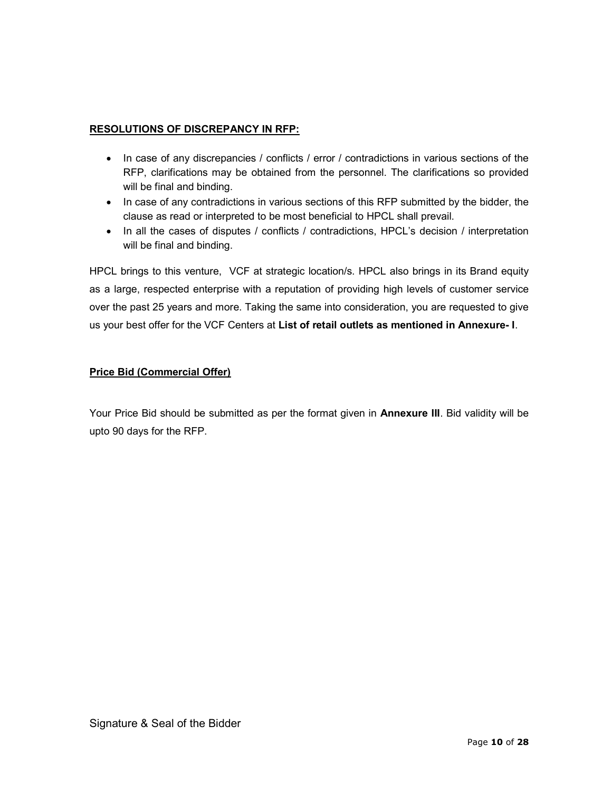## RESOLUTIONS OF DISCREPANCY IN RFP:

- In case of any discrepancies / conflicts / error / contradictions in various sections of the RFP, clarifications may be obtained from the personnel. The clarifications so provided will be final and binding.
- In case of any contradictions in various sections of this RFP submitted by the bidder, the clause as read or interpreted to be most beneficial to HPCL shall prevail.
- In all the cases of disputes / conflicts / contradictions, HPCL's decision / interpretation will be final and binding.

HPCL brings to this venture, VCF at strategic location/s. HPCL also brings in its Brand equity as a large, respected enterprise with a reputation of providing high levels of customer service over the past 25 years and more. Taking the same into consideration, you are requested to give us your best offer for the VCF Centers at List of retail outlets as mentioned in Annexure- I.

## Price Bid (Commercial Offer)

Your Price Bid should be submitted as per the format given in **Annexure III**. Bid validity will be upto 90 days for the RFP.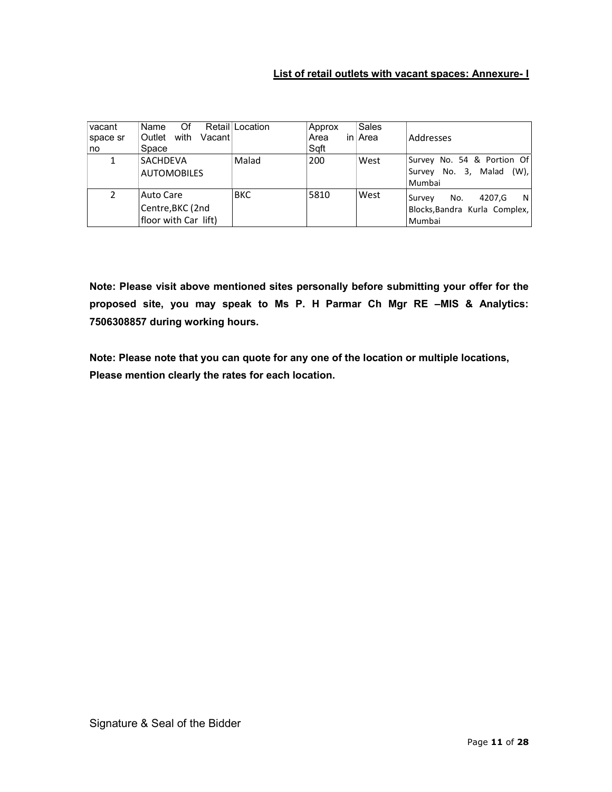## List of retail outlets with vacant spaces: Annexure- I

| vacant   | Of<br>Name                | Retail Location | Approx | Sales   |                               |
|----------|---------------------------|-----------------|--------|---------|-------------------------------|
| space sr | with<br>Vacant⊺<br>Outlet |                 | Area   | in⊥Area | Addresses                     |
| no       | Space                     |                 | Sqft   |         |                               |
|          | <b>SACHDEVA</b>           | Malad           | 200    | West    | Survey No. 54 & Portion Of    |
|          | <b>AUTOMOBILES</b>        |                 |        |         | Survey No. 3, Malad (W),      |
|          |                           |                 |        |         | Mumbai                        |
| 2        | Auto Care                 | <b>BKC</b>      | 5810   | West    | No.<br>4207.G<br>N<br>Survey  |
|          | Centre, BKC (2nd          |                 |        |         | Blocks, Bandra Kurla Complex, |
|          | floor with Car lift)      |                 |        |         | Mumbai                        |

Note: Please visit above mentioned sites personally before submitting your offer for the proposed site, you may speak to Ms P. H Parmar Ch Mgr RE –MIS & Analytics: 7506308857 during working hours.

Note: Please note that you can quote for any one of the location or multiple locations, Please mention clearly the rates for each location.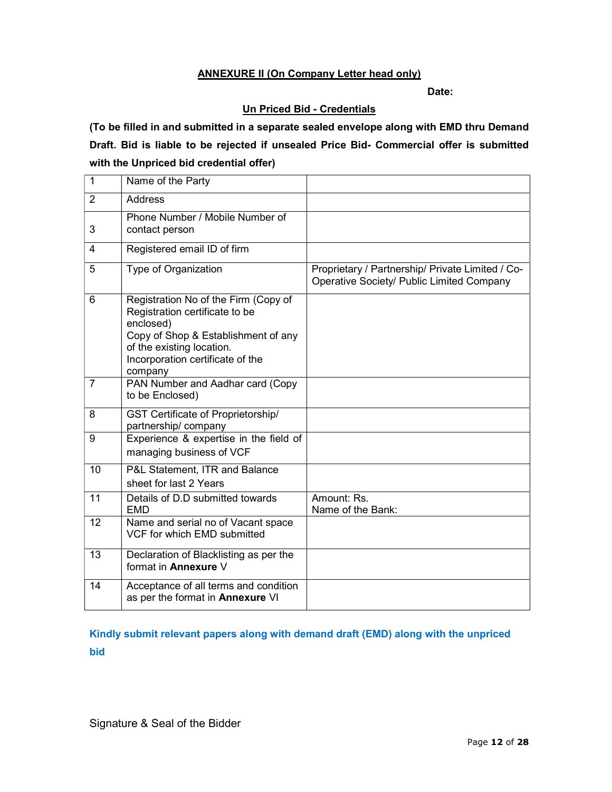#### ANNEXURE II (On Company Letter head only)

Date:

## Un Priced Bid - Credentials

(To be filled in and submitted in a separate sealed envelope along with EMD thru Demand Draft. Bid is liable to be rejected if unsealed Price Bid- Commercial offer is submitted with the Unpriced bid credential offer)

| 1              | Name of the Party                                                                                                                                                                                      |                                                                                               |
|----------------|--------------------------------------------------------------------------------------------------------------------------------------------------------------------------------------------------------|-----------------------------------------------------------------------------------------------|
| 2              | Address                                                                                                                                                                                                |                                                                                               |
| 3              | Phone Number / Mobile Number of<br>contact person                                                                                                                                                      |                                                                                               |
| 4              | Registered email ID of firm                                                                                                                                                                            |                                                                                               |
| 5              | Type of Organization                                                                                                                                                                                   | Proprietary / Partnership/ Private Limited / Co-<br>Operative Society/ Public Limited Company |
| 6              | Registration No of the Firm (Copy of<br>Registration certificate to be<br>enclosed)<br>Copy of Shop & Establishment of any<br>of the existing location.<br>Incorporation certificate of the<br>company |                                                                                               |
| $\overline{7}$ | PAN Number and Aadhar card (Copy<br>to be Enclosed)                                                                                                                                                    |                                                                                               |
| 8              | GST Certificate of Proprietorship/<br>partnership/company                                                                                                                                              |                                                                                               |
| 9              | Experience & expertise in the field of<br>managing business of VCF                                                                                                                                     |                                                                                               |
| 10             | P&L Statement, ITR and Balance<br>sheet for last 2 Years                                                                                                                                               |                                                                                               |
| 11             | Details of D.D submitted towards<br><b>EMD</b>                                                                                                                                                         | Amount: Rs.<br>Name of the Bank:                                                              |
| 12             | Name and serial no of Vacant space<br>VCF for which EMD submitted                                                                                                                                      |                                                                                               |
| 13             | Declaration of Blacklisting as per the<br>format in <b>Annexure</b> V                                                                                                                                  |                                                                                               |
| 14             | Acceptance of all terms and condition<br>as per the format in <b>Annexure</b> VI                                                                                                                       |                                                                                               |

Kindly submit relevant papers along with demand draft (EMD) along with the unpriced bid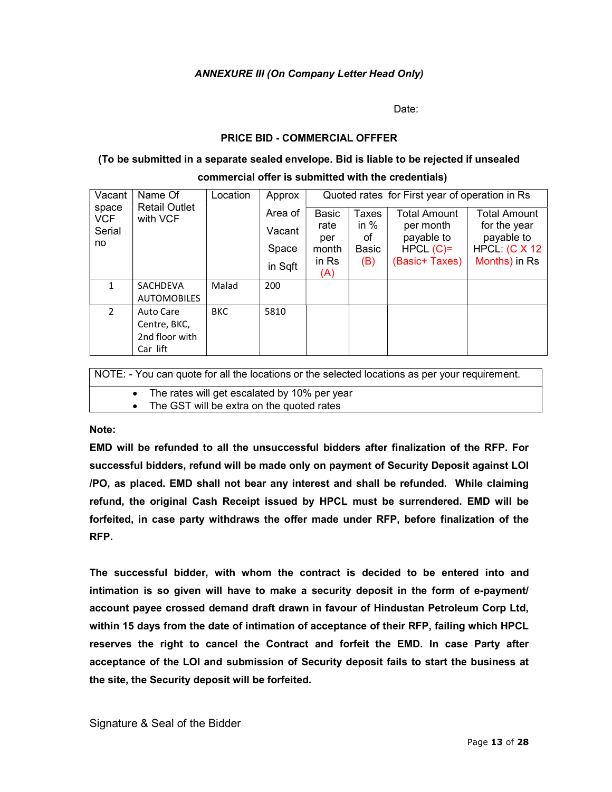## ANNEXURE III (On Company Letter Head Only)

de de la contradición de la contradición de la contradición de la contradición de la contradición de la contra

#### PRICE BID - COMMERCIAL OFFFER

#### (To be submitted in a separate sealed envelope. Bid is liable to be rejected if unsealed

#### commercial offer is submitted with the credentials) Vacant space VCF Serial no Name Of Retail Outlet with VCF Location  $\vert$  Approx Area of Vacant Space in Sqft Quoted rates for First year of operation in Rs Basic rate per month in Rs (A) Taxes in % of Basic (B) Total Amount per month payable to HPCL  $(C)=$ (Basic+ Taxes) Total Amount for the year payable to HPCL: (C X 12 Months) in Rs 1 | SACHDEVA **AUTOMOBILES** Malad 200 2 Auto Care Centre, BKC, 2nd floor with BKC 5810

NOTE: - You can quote for all the locations or the selected locations as per your requirement.

The rates will get escalated by 10% per year

The GST will be extra on the quoted rates

Note:

Car lift

EMD will be refunded to all the unsuccessful bidders after finalization of the RFP. For successful bidders, refund will be made only on payment of Security Deposit against LOI /PO, as placed. EMD shall not bear any interest and shall be refunded. While claiming refund, the original Cash Receipt issued by HPCL must be surrendered. EMD will be forfeited, in case party withdraws the offer made under RFP, before finalization of the RFP.

The successful bidder, with whom the contract is decided to be entered into and intimation is so given will have to make a security deposit in the form of e-payment/ account payee crossed demand draft drawn in favour of Hindustan Petroleum Corp Ltd, within 15 days from the date of intimation of acceptance of their RFP, failing which HPCL reserves the right to cancel the Contract and forfeit the EMD. In case Party after acceptance of the LOI and submission of Security deposit fails to start the business at the site, the Security deposit will be forfeited.

Signature & Seal of the Bidder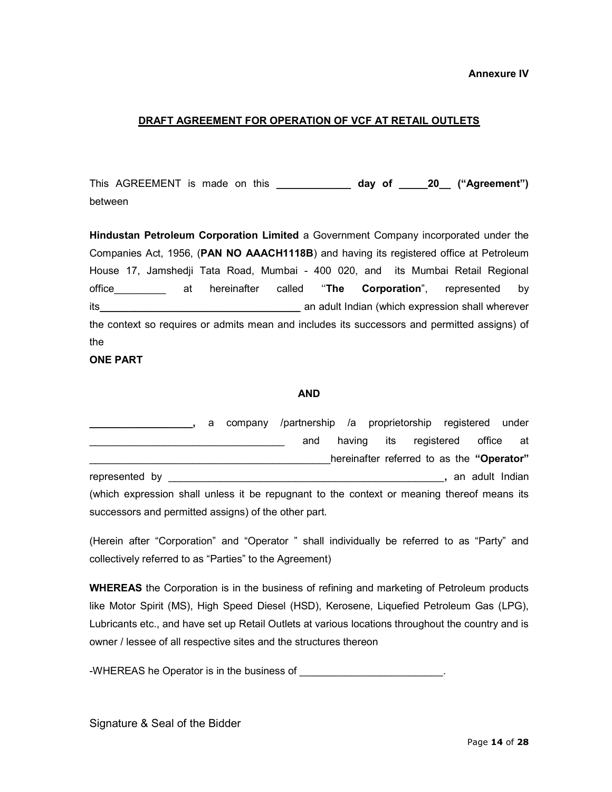#### Annexure IV

#### DRAFT AGREEMENT FOR OPERATION OF VCF AT RETAIL OUTLETS

This AGREEMENT is made on this \_\_\_\_\_\_\_\_\_\_\_\_\_ day of \_\_\_\_\_20 ("Agreement") between

Hindustan Petroleum Corporation Limited a Government Company incorporated under the Companies Act, 1956, (PAN NO AAACH1118B) and having its registered office at Petroleum House 17, Jamshedji Tata Road, Mumbai - 400 020, and its Mumbai Retail Regional office **and a substant and a stat hereinafter** called "The Corporation", represented by its\_\_\_\_\_\_\_\_\_\_\_\_\_\_\_\_\_\_\_\_\_\_\_\_\_\_\_\_\_\_\_\_\_\_\_ an adult Indian (which expression shall wherever the context so requires or admits mean and includes its successors and permitted assigns) of the

#### ONE PART

#### AND

|                                                                                            |  | a company /partnership /a proprietorship registered under |  |                                           |                 |  |
|--------------------------------------------------------------------------------------------|--|-----------------------------------------------------------|--|-------------------------------------------|-----------------|--|
|                                                                                            |  | and                                                       |  | having its registered                     | office at       |  |
|                                                                                            |  |                                                           |  | hereinafter referred to as the "Operator" |                 |  |
| represented by                                                                             |  |                                                           |  |                                           | an adult Indian |  |
| (which expression shall unless it be repugnant to the context or meaning thereof means its |  |                                                           |  |                                           |                 |  |
| successors and permitted assigns) of the other part.                                       |  |                                                           |  |                                           |                 |  |

(Herein after "Corporation" and "Operator " shall individually be referred to as "Party" and collectively referred to as "Parties" to the Agreement)

WHEREAS the Corporation is in the business of refining and marketing of Petroleum products like Motor Spirit (MS), High Speed Diesel (HSD), Kerosene, Liquefied Petroleum Gas (LPG), Lubricants etc., and have set up Retail Outlets at various locations throughout the country and is owner / lessee of all respective sites and the structures thereon

-WHEREAS he Operator is in the business of **with the set of the set of the set of the set of the set of the set of the set of the set of the set of the set of the set of the set of the set of the set of the set of the set**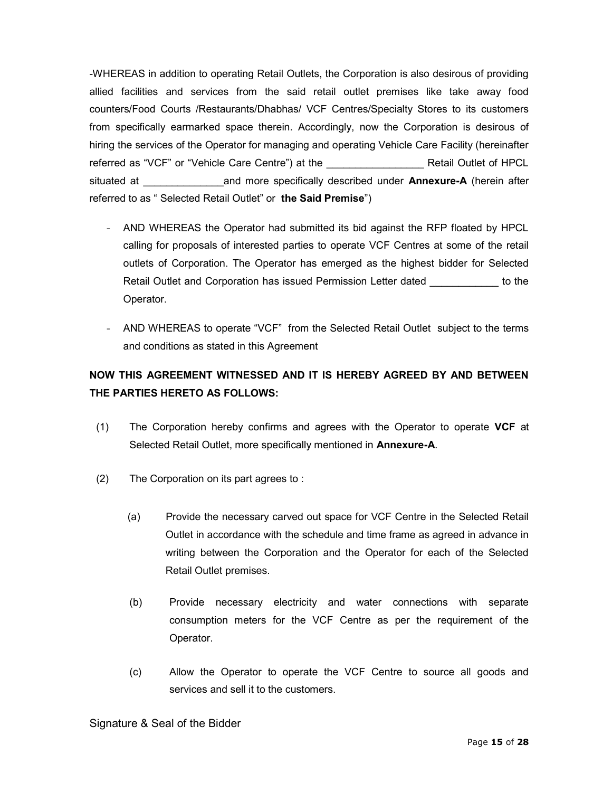-WHEREAS in addition to operating Retail Outlets, the Corporation is also desirous of providing allied facilities and services from the said retail outlet premises like take away food counters/Food Courts /Restaurants/Dhabhas/ VCF Centres/Specialty Stores to its customers from specifically earmarked space therein. Accordingly, now the Corporation is desirous of hiring the services of the Operator for managing and operating Vehicle Care Facility (hereinafter referred as "VCF" or "Vehicle Care Centre") at the **Example 20 Tensor Retail Outlet of HPCL** situated at \_\_\_\_\_\_\_\_\_\_\_\_\_\_and more specifically described under Annexure-A (herein after referred to as " Selected Retail Outlet" or the Said Premise")

- AND WHEREAS the Operator had submitted its bid against the RFP floated by HPCL calling for proposals of interested parties to operate VCF Centres at some of the retail outlets of Corporation. The Operator has emerged as the highest bidder for Selected Retail Outlet and Corporation has issued Permission Letter dated the to the Operator.
- AND WHEREAS to operate "VCF" from the Selected Retail Outlet subject to the terms and conditions as stated in this Agreement

# NOW THIS AGREEMENT WITNESSED AND IT IS HEREBY AGREED BY AND BETWEEN THE PARTIES HERETO AS FOLLOWS:

- (1) The Corporation hereby confirms and agrees with the Operator to operate VCF at Selected Retail Outlet, more specifically mentioned in Annexure-A.
- (2) The Corporation on its part agrees to :
	- (a) Provide the necessary carved out space for VCF Centre in the Selected Retail Outlet in accordance with the schedule and time frame as agreed in advance in writing between the Corporation and the Operator for each of the Selected Retail Outlet premises.
	- (b) Provide necessary electricity and water connections with separate consumption meters for the VCF Centre as per the requirement of the Operator.
	- (c) Allow the Operator to operate the VCF Centre to source all goods and services and sell it to the customers.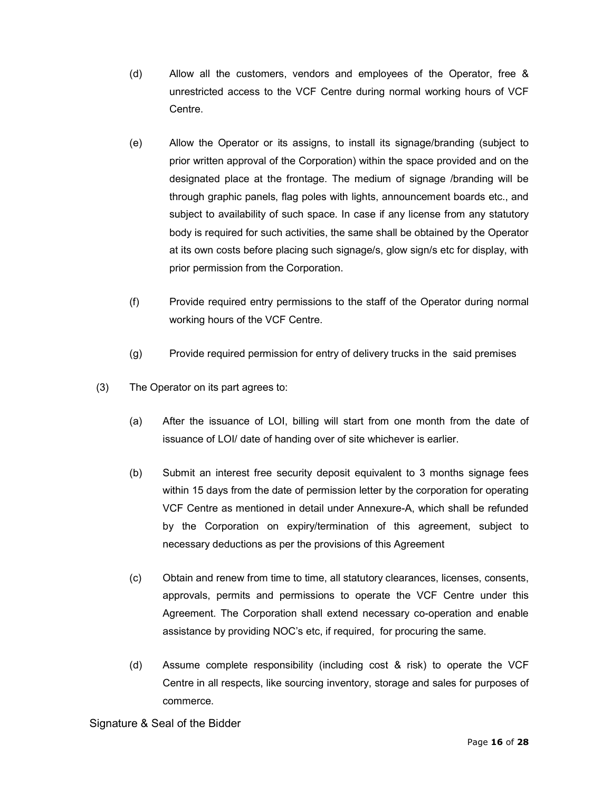- (d) Allow all the customers, vendors and employees of the Operator, free & unrestricted access to the VCF Centre during normal working hours of VCF Centre.
- (e) Allow the Operator or its assigns, to install its signage/branding (subject to prior written approval of the Corporation) within the space provided and on the designated place at the frontage. The medium of signage /branding will be through graphic panels, flag poles with lights, announcement boards etc., and subject to availability of such space. In case if any license from any statutory body is required for such activities, the same shall be obtained by the Operator at its own costs before placing such signage/s, glow sign/s etc for display, with prior permission from the Corporation.
- (f) Provide required entry permissions to the staff of the Operator during normal working hours of the VCF Centre.
- (g) Provide required permission for entry of delivery trucks in the said premises
- (3) The Operator on its part agrees to:
	- (a) After the issuance of LOI, billing will start from one month from the date of issuance of LOI/ date of handing over of site whichever is earlier.
	- (b) Submit an interest free security deposit equivalent to 3 months signage fees within 15 days from the date of permission letter by the corporation for operating VCF Centre as mentioned in detail under Annexure-A, which shall be refunded by the Corporation on expiry/termination of this agreement, subject to necessary deductions as per the provisions of this Agreement
	- (c) Obtain and renew from time to time, all statutory clearances, licenses, consents, approvals, permits and permissions to operate the VCF Centre under this Agreement. The Corporation shall extend necessary co-operation and enable assistance by providing NOC's etc, if required, for procuring the same.
	- (d) Assume complete responsibility (including cost & risk) to operate the VCF Centre in all respects, like sourcing inventory, storage and sales for purposes of commerce.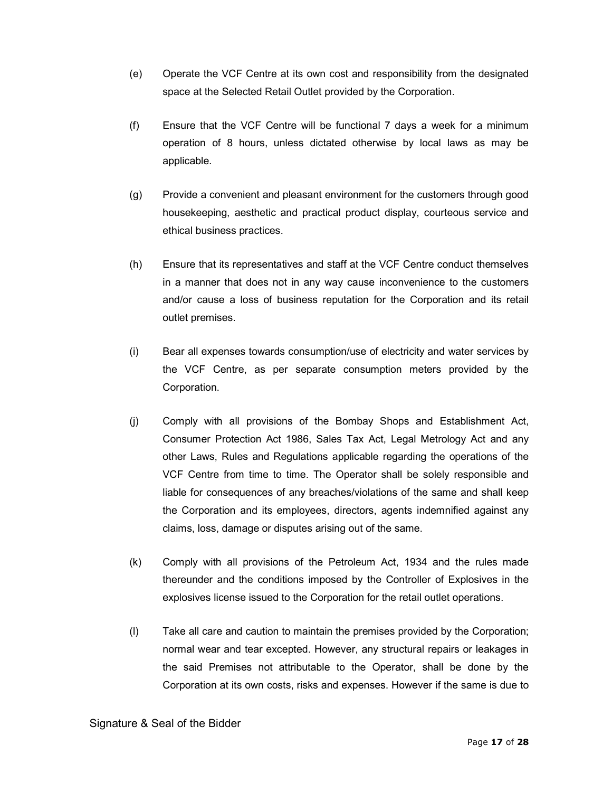- (e) Operate the VCF Centre at its own cost and responsibility from the designated space at the Selected Retail Outlet provided by the Corporation.
- (f) Ensure that the VCF Centre will be functional 7 days a week for a minimum operation of 8 hours, unless dictated otherwise by local laws as may be applicable.
- (g) Provide a convenient and pleasant environment for the customers through good housekeeping, aesthetic and practical product display, courteous service and ethical business practices.
- (h) Ensure that its representatives and staff at the VCF Centre conduct themselves in a manner that does not in any way cause inconvenience to the customers and/or cause a loss of business reputation for the Corporation and its retail outlet premises.
- (i) Bear all expenses towards consumption/use of electricity and water services by the VCF Centre, as per separate consumption meters provided by the Corporation.
- (j) Comply with all provisions of the Bombay Shops and Establishment Act, Consumer Protection Act 1986, Sales Tax Act, Legal Metrology Act and any other Laws, Rules and Regulations applicable regarding the operations of the VCF Centre from time to time. The Operator shall be solely responsible and liable for consequences of any breaches/violations of the same and shall keep the Corporation and its employees, directors, agents indemnified against any claims, loss, damage or disputes arising out of the same.
- (k) Comply with all provisions of the Petroleum Act, 1934 and the rules made thereunder and the conditions imposed by the Controller of Explosives in the explosives license issued to the Corporation for the retail outlet operations.
- (l) Take all care and caution to maintain the premises provided by the Corporation; normal wear and tear excepted. However, any structural repairs or leakages in the said Premises not attributable to the Operator, shall be done by the Corporation at its own costs, risks and expenses. However if the same is due to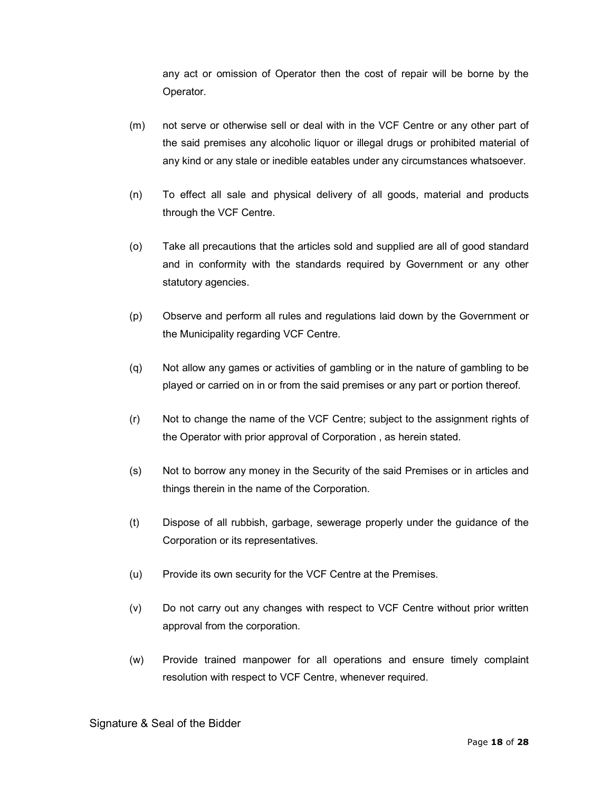any act or omission of Operator then the cost of repair will be borne by the Operator.

- (m) not serve or otherwise sell or deal with in the VCF Centre or any other part of the said premises any alcoholic liquor or illegal drugs or prohibited material of any kind or any stale or inedible eatables under any circumstances whatsoever.
- (n) To effect all sale and physical delivery of all goods, material and products through the VCF Centre.
- (o) Take all precautions that the articles sold and supplied are all of good standard and in conformity with the standards required by Government or any other statutory agencies.
- (p) Observe and perform all rules and regulations laid down by the Government or the Municipality regarding VCF Centre.
- (q) Not allow any games or activities of gambling or in the nature of gambling to be played or carried on in or from the said premises or any part or portion thereof.
- (r) Not to change the name of the VCF Centre; subject to the assignment rights of the Operator with prior approval of Corporation , as herein stated.
- (s) Not to borrow any money in the Security of the said Premises or in articles and things therein in the name of the Corporation.
- (t) Dispose of all rubbish, garbage, sewerage properly under the guidance of the Corporation or its representatives.
- (u) Provide its own security for the VCF Centre at the Premises.
- (v) Do not carry out any changes with respect to VCF Centre without prior written approval from the corporation.
- (w) Provide trained manpower for all operations and ensure timely complaint resolution with respect to VCF Centre, whenever required.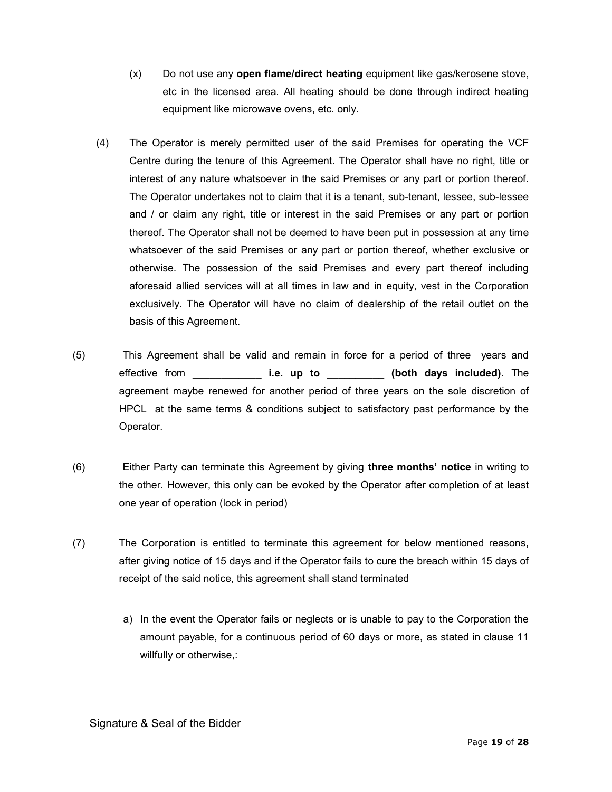- (x) Do not use any open flame/direct heating equipment like gas/kerosene stove, etc in the licensed area. All heating should be done through indirect heating equipment like microwave ovens, etc. only.
- (4) The Operator is merely permitted user of the said Premises for operating the VCF Centre during the tenure of this Agreement. The Operator shall have no right, title or interest of any nature whatsoever in the said Premises or any part or portion thereof. The Operator undertakes not to claim that it is a tenant, sub-tenant, lessee, sub-lessee and / or claim any right, title or interest in the said Premises or any part or portion thereof. The Operator shall not be deemed to have been put in possession at any time whatsoever of the said Premises or any part or portion thereof, whether exclusive or otherwise. The possession of the said Premises and every part thereof including aforesaid allied services will at all times in law and in equity, vest in the Corporation exclusively. The Operator will have no claim of dealership of the retail outlet on the basis of this Agreement.
- (5) This Agreement shall be valid and remain in force for a period of three years and effective from \_\_\_\_\_\_\_\_\_\_\_\_\_\_\_\_\_ i.e. up to \_\_\_\_\_\_\_\_\_\_\_\_ (both days included). The agreement maybe renewed for another period of three years on the sole discretion of HPCL at the same terms & conditions subject to satisfactory past performance by the Operator.
- (6) Either Party can terminate this Agreement by giving three months' notice in writing to the other. However, this only can be evoked by the Operator after completion of at least one year of operation (lock in period)
- (7) The Corporation is entitled to terminate this agreement for below mentioned reasons, after giving notice of 15 days and if the Operator fails to cure the breach within 15 days of receipt of the said notice, this agreement shall stand terminated
	- a) In the event the Operator fails or neglects or is unable to pay to the Corporation the amount payable, for a continuous period of 60 days or more, as stated in clause 11 willfully or otherwise,: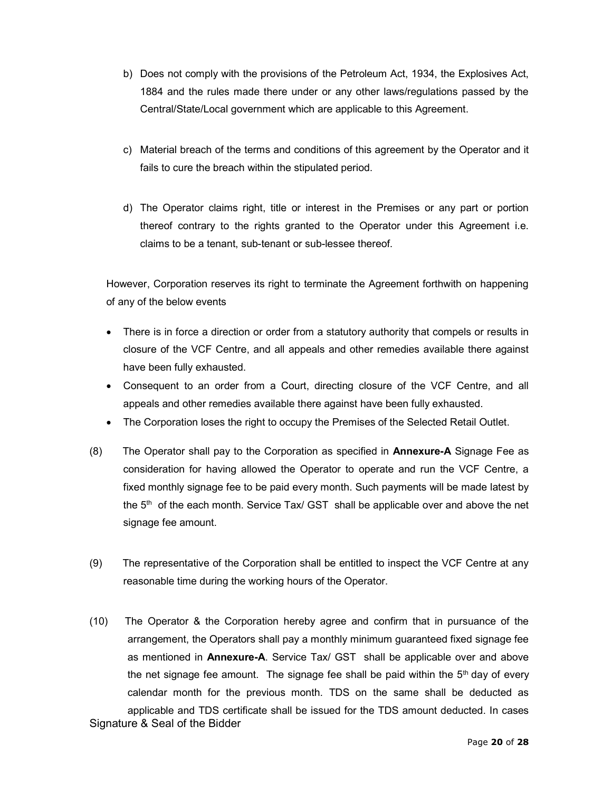- b) Does not comply with the provisions of the Petroleum Act, 1934, the Explosives Act, 1884 and the rules made there under or any other laws/regulations passed by the Central/State/Local government which are applicable to this Agreement.
- c) Material breach of the terms and conditions of this agreement by the Operator and it fails to cure the breach within the stipulated period.
- d) The Operator claims right, title or interest in the Premises or any part or portion thereof contrary to the rights granted to the Operator under this Agreement i.e. claims to be a tenant, sub-tenant or sub-lessee thereof.

However, Corporation reserves its right to terminate the Agreement forthwith on happening of any of the below events

- There is in force a direction or order from a statutory authority that compels or results in closure of the VCF Centre, and all appeals and other remedies available there against have been fully exhausted.
- Consequent to an order from a Court, directing closure of the VCF Centre, and all appeals and other remedies available there against have been fully exhausted.
- The Corporation loses the right to occupy the Premises of the Selected Retail Outlet.
- (8) The Operator shall pay to the Corporation as specified in **Annexure-A** Signage Fee as consideration for having allowed the Operator to operate and run the VCF Centre, a fixed monthly signage fee to be paid every month. Such payments will be made latest by the  $5<sup>th</sup>$  of the each month. Service Tax/ GST shall be applicable over and above the net signage fee amount.
- (9) The representative of the Corporation shall be entitled to inspect the VCF Centre at any reasonable time during the working hours of the Operator.
- Signature & Seal of the Bidder (10) The Operator & the Corporation hereby agree and confirm that in pursuance of the arrangement, the Operators shall pay a monthly minimum guaranteed fixed signage fee as mentioned in Annexure-A. Service Tax/ GST shall be applicable over and above the net signage fee amount. The signage fee shall be paid within the  $5<sup>th</sup>$  day of every calendar month for the previous month. TDS on the same shall be deducted as applicable and TDS certificate shall be issued for the TDS amount deducted. In cases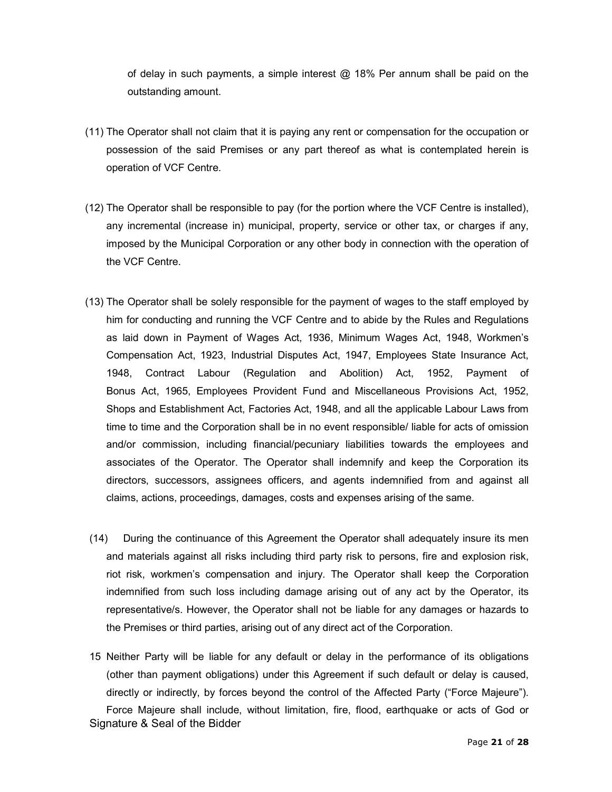of delay in such payments, a simple interest  $\omega$  18% Per annum shall be paid on the outstanding amount.

- (11) The Operator shall not claim that it is paying any rent or compensation for the occupation or possession of the said Premises or any part thereof as what is contemplated herein is operation of VCF Centre.
- (12) The Operator shall be responsible to pay (for the portion where the VCF Centre is installed), any incremental (increase in) municipal, property, service or other tax, or charges if any, imposed by the Municipal Corporation or any other body in connection with the operation of the VCF Centre.
- (13) The Operator shall be solely responsible for the payment of wages to the staff employed by him for conducting and running the VCF Centre and to abide by the Rules and Regulations as laid down in Payment of Wages Act, 1936, Minimum Wages Act, 1948, Workmen's Compensation Act, 1923, Industrial Disputes Act, 1947, Employees State Insurance Act, 1948, Contract Labour (Regulation and Abolition) Act, 1952, Payment of Bonus Act, 1965, Employees Provident Fund and Miscellaneous Provisions Act, 1952, Shops and Establishment Act, Factories Act, 1948, and all the applicable Labour Laws from time to time and the Corporation shall be in no event responsible/ liable for acts of omission and/or commission, including financial/pecuniary liabilities towards the employees and associates of the Operator. The Operator shall indemnify and keep the Corporation its directors, successors, assignees officers, and agents indemnified from and against all claims, actions, proceedings, damages, costs and expenses arising of the same.
- (14) During the continuance of this Agreement the Operator shall adequately insure its men and materials against all risks including third party risk to persons, fire and explosion risk, riot risk, workmen's compensation and injury. The Operator shall keep the Corporation indemnified from such loss including damage arising out of any act by the Operator, its representative/s. However, the Operator shall not be liable for any damages or hazards to the Premises or third parties, arising out of any direct act of the Corporation.
- Signature & Seal of the Bidder 15 Neither Party will be liable for any default or delay in the performance of its obligations (other than payment obligations) under this Agreement if such default or delay is caused, directly or indirectly, by forces beyond the control of the Affected Party ("Force Majeure"). Force Majeure shall include, without limitation, fire, flood, earthquake or acts of God or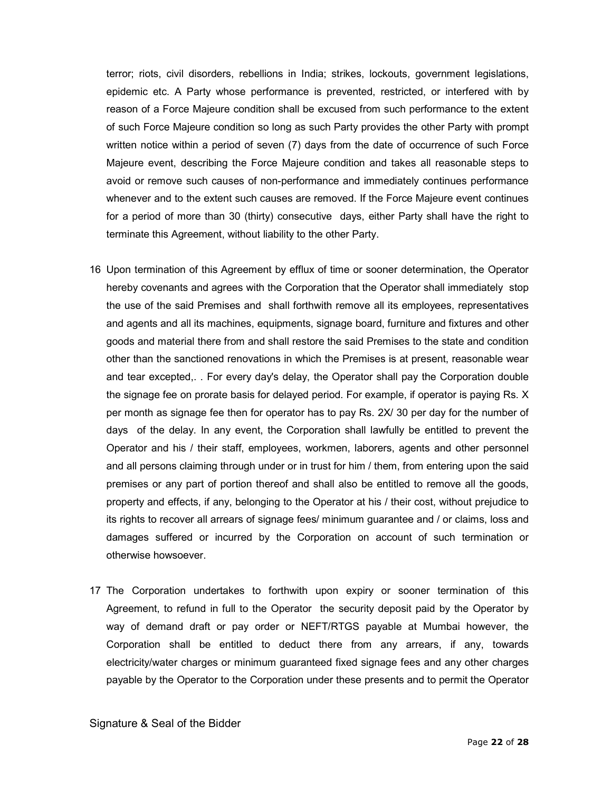terror; riots, civil disorders, rebellions in India; strikes, lockouts, government legislations, epidemic etc. A Party whose performance is prevented, restricted, or interfered with by reason of a Force Majeure condition shall be excused from such performance to the extent of such Force Majeure condition so long as such Party provides the other Party with prompt written notice within a period of seven (7) days from the date of occurrence of such Force Majeure event, describing the Force Majeure condition and takes all reasonable steps to avoid or remove such causes of non-performance and immediately continues performance whenever and to the extent such causes are removed. If the Force Majeure event continues for a period of more than 30 (thirty) consecutive days, either Party shall have the right to terminate this Agreement, without liability to the other Party.

- 16 Upon termination of this Agreement by efflux of time or sooner determination, the Operator hereby covenants and agrees with the Corporation that the Operator shall immediately stop the use of the said Premises and shall forthwith remove all its employees, representatives and agents and all its machines, equipments, signage board, furniture and fixtures and other goods and material there from and shall restore the said Premises to the state and condition other than the sanctioned renovations in which the Premises is at present, reasonable wear and tear excepted,. . For every day's delay, the Operator shall pay the Corporation double the signage fee on prorate basis for delayed period. For example, if operator is paying Rs. X per month as signage fee then for operator has to pay Rs. 2X/ 30 per day for the number of days of the delay. In any event, the Corporation shall lawfully be entitled to prevent the Operator and his / their staff, employees, workmen, laborers, agents and other personnel and all persons claiming through under or in trust for him / them, from entering upon the said premises or any part of portion thereof and shall also be entitled to remove all the goods, property and effects, if any, belonging to the Operator at his / their cost, without prejudice to its rights to recover all arrears of signage fees/ minimum guarantee and / or claims, loss and damages suffered or incurred by the Corporation on account of such termination or otherwise howsoever.
- 17 The Corporation undertakes to forthwith upon expiry or sooner termination of this Agreement, to refund in full to the Operator the security deposit paid by the Operator by way of demand draft or pay order or NEFT/RTGS payable at Mumbai however, the Corporation shall be entitled to deduct there from any arrears, if any, towards electricity/water charges or minimum guaranteed fixed signage fees and any other charges payable by the Operator to the Corporation under these presents and to permit the Operator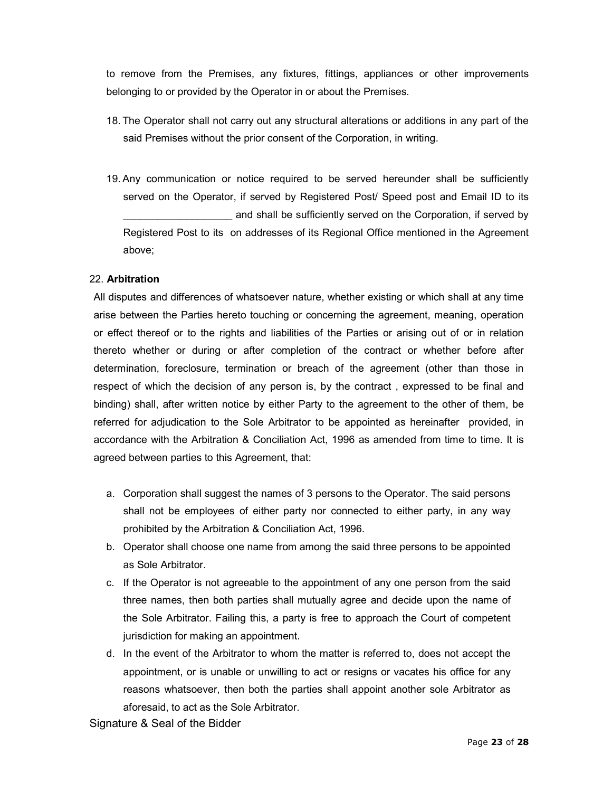to remove from the Premises, any fixtures, fittings, appliances or other improvements belonging to or provided by the Operator in or about the Premises.

- 18. The Operator shall not carry out any structural alterations or additions in any part of the said Premises without the prior consent of the Corporation, in writing.
- 19. Any communication or notice required to be served hereunder shall be sufficiently served on the Operator, if served by Registered Post/ Speed post and Email ID to its and shall be sufficiently served on the Corporation, if served by Registered Post to its on addresses of its Regional Office mentioned in the Agreement above;

#### 22. Arbitration

All disputes and differences of whatsoever nature, whether existing or which shall at any time arise between the Parties hereto touching or concerning the agreement, meaning, operation or effect thereof or to the rights and liabilities of the Parties or arising out of or in relation thereto whether or during or after completion of the contract or whether before after determination, foreclosure, termination or breach of the agreement (other than those in respect of which the decision of any person is, by the contract , expressed to be final and binding) shall, after written notice by either Party to the agreement to the other of them, be referred for adjudication to the Sole Arbitrator to be appointed as hereinafter provided, in accordance with the Arbitration & Conciliation Act, 1996 as amended from time to time. It is agreed between parties to this Agreement, that:

- a. Corporation shall suggest the names of 3 persons to the Operator. The said persons shall not be employees of either party nor connected to either party, in any way prohibited by the Arbitration & Conciliation Act, 1996.
- b. Operator shall choose one name from among the said three persons to be appointed as Sole Arbitrator.
- c. If the Operator is not agreeable to the appointment of any one person from the said three names, then both parties shall mutually agree and decide upon the name of the Sole Arbitrator. Failing this, a party is free to approach the Court of competent jurisdiction for making an appointment.
- d. In the event of the Arbitrator to whom the matter is referred to, does not accept the appointment, or is unable or unwilling to act or resigns or vacates his office for any reasons whatsoever, then both the parties shall appoint another sole Arbitrator as aforesaid, to act as the Sole Arbitrator.

Signature & Seal of the Bidder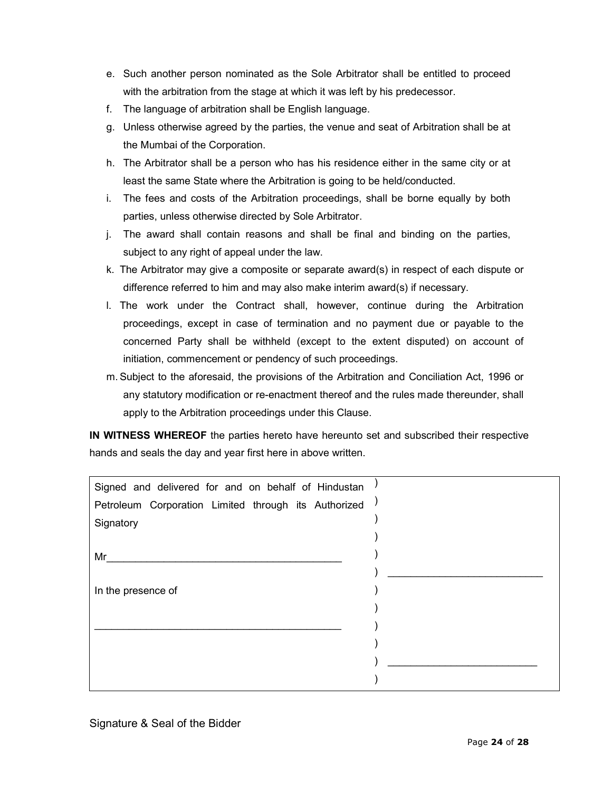- e. Such another person nominated as the Sole Arbitrator shall be entitled to proceed with the arbitration from the stage at which it was left by his predecessor.
- f. The language of arbitration shall be English language.
- g. Unless otherwise agreed by the parties, the venue and seat of Arbitration shall be at the Mumbai of the Corporation.
- h. The Arbitrator shall be a person who has his residence either in the same city or at least the same State where the Arbitration is going to be held/conducted.
- i. The fees and costs of the Arbitration proceedings, shall be borne equally by both parties, unless otherwise directed by Sole Arbitrator.
- j. The award shall contain reasons and shall be final and binding on the parties, subject to any right of appeal under the law.
- k. The Arbitrator may give a composite or separate award(s) in respect of each dispute or difference referred to him and may also make interim award(s) if necessary.
- l. The work under the Contract shall, however, continue during the Arbitration proceedings, except in case of termination and no payment due or payable to the concerned Party shall be withheld (except to the extent disputed) on account of initiation, commencement or pendency of such proceedings.
- m. Subject to the aforesaid, the provisions of the Arbitration and Conciliation Act, 1996 or any statutory modification or re-enactment thereof and the rules made thereunder, shall apply to the Arbitration proceedings under this Clause.

IN WITNESS WHEREOF the parties hereto have hereunto set and subscribed their respective hands and seals the day and year first here in above written.

| Signed and delivered for and on behalf of Hindustan  |  |
|------------------------------------------------------|--|
| Petroleum Corporation Limited through its Authorized |  |
| Signatory                                            |  |
|                                                      |  |
| Mr                                                   |  |
|                                                      |  |
| In the presence of                                   |  |
|                                                      |  |
|                                                      |  |
|                                                      |  |
|                                                      |  |
|                                                      |  |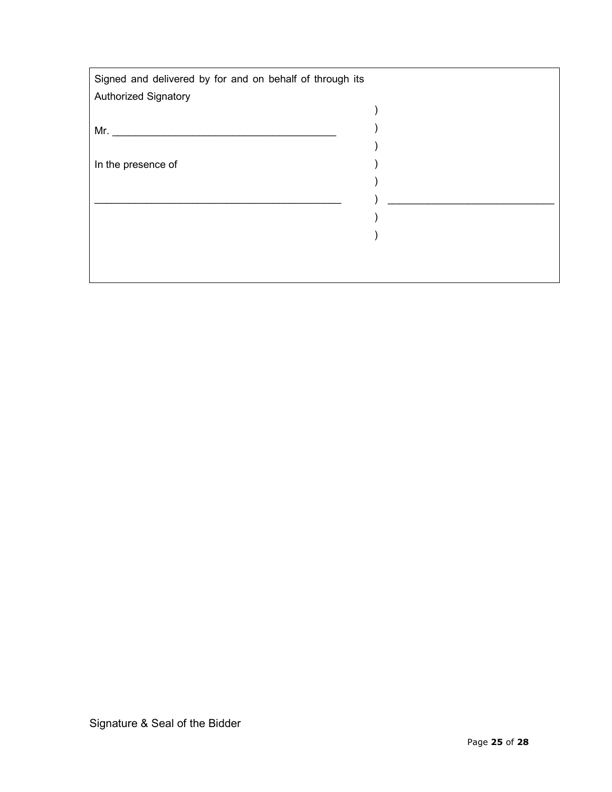| Signed and delivered by for and on behalf of through its |  |
|----------------------------------------------------------|--|
| <b>Authorized Signatory</b>                              |  |
|                                                          |  |
| Mr.                                                      |  |
|                                                          |  |
| In the presence of                                       |  |
|                                                          |  |
|                                                          |  |
|                                                          |  |
|                                                          |  |
|                                                          |  |
|                                                          |  |
|                                                          |  |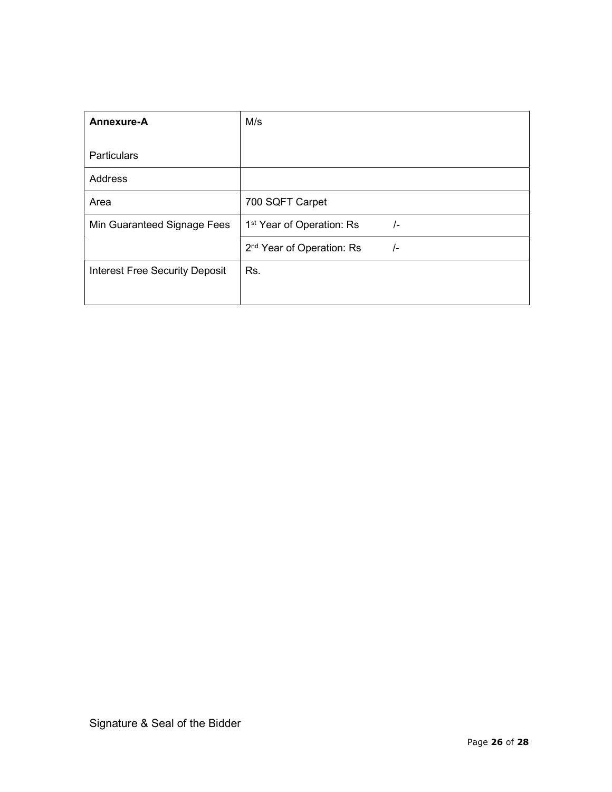| Annexure-A                            | M/s                                                    |  |  |
|---------------------------------------|--------------------------------------------------------|--|--|
| <b>Particulars</b>                    |                                                        |  |  |
| Address                               |                                                        |  |  |
| Area                                  | 700 SQFT Carpet                                        |  |  |
| Min Guaranteed Signage Fees           | 1 <sup>st</sup> Year of Operation: Rs<br>$/$ -         |  |  |
|                                       | 2 <sup>nd</sup> Year of Operation: Rs<br>$\frac{1}{2}$ |  |  |
| <b>Interest Free Security Deposit</b> | Rs.                                                    |  |  |
|                                       |                                                        |  |  |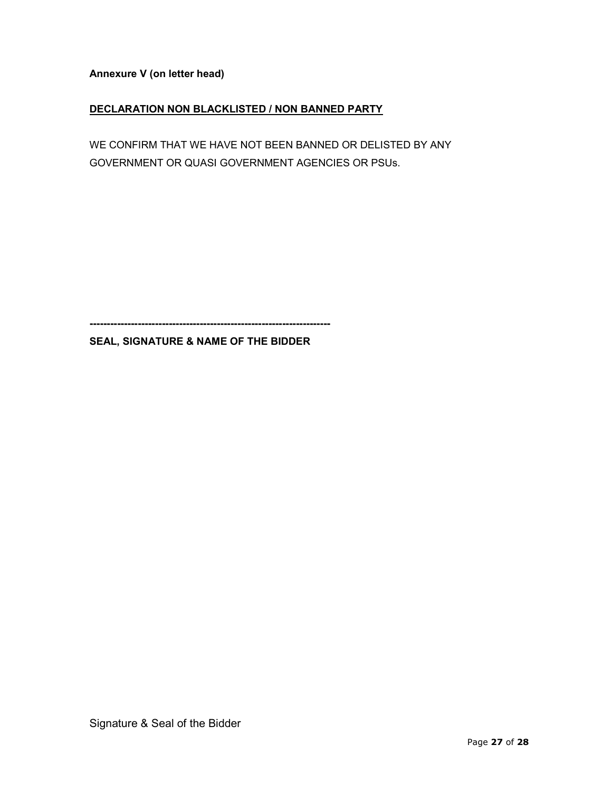Annexure V (on letter head)

## DECLARATION NON BLACKLISTED / NON BANNED PARTY

WE CONFIRM THAT WE HAVE NOT BEEN BANNED OR DELISTED BY ANY GOVERNMENT OR QUASI GOVERNMENT AGENCIES OR PSUs.

----------------------------------------------------------------------

## SEAL, SIGNATURE & NAME OF THE BIDDER